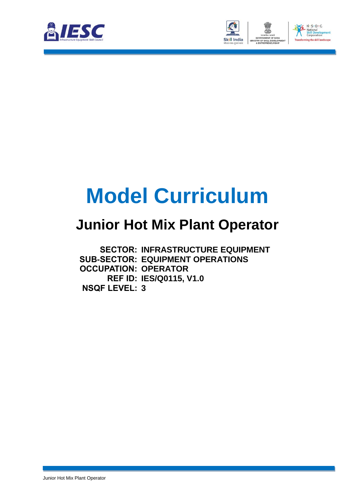



# **Model Curriculum**

### **Junior Hot Mix Plant Operator**

**SECTOR: INFRASTRUCTURE EQUIPMENT SUB-SECTOR: EQUIPMENT OPERATIONS OCCUPATION: OPERATOR REF ID: IES/Q0115, V1.0 NSQF LEVEL: 3**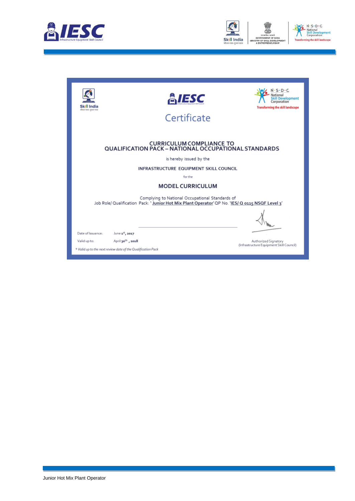



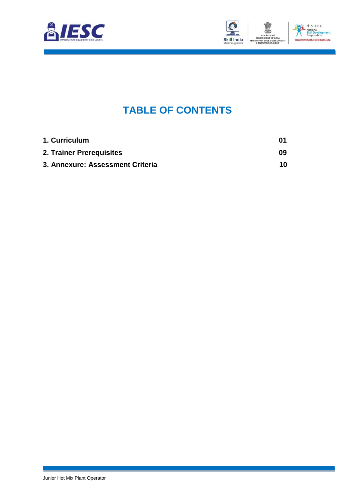



### **TABLE OF CONTENTS**

<span id="page-2-2"></span><span id="page-2-1"></span><span id="page-2-0"></span>

| 1. Curriculum                    | 01 |
|----------------------------------|----|
| 2. Trainer Prerequisites         | 09 |
| 3. Annexure: Assessment Criteria | 10 |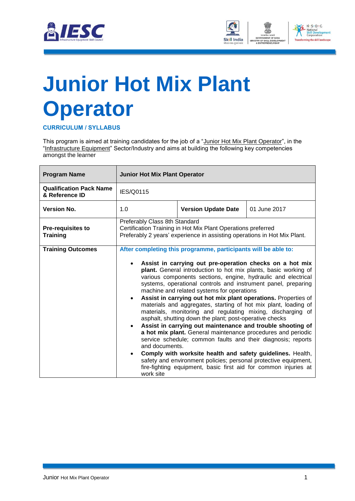



# <span id="page-3-0"></span>**[Junior Hot Mix Plant](#page-2-0)  [Operator](#page-2-0)**

**CURRICULUM / SYLLABUS**

This program is aimed at training candidates for the job of a "Junior Hot Mix Plant Operator", in the "Infrastructure Equipment" Sector/Industry and aims at building the following key competencies amongst the learner

| <b>Program Name</b>                              | <b>Junior Hot Mix Plant Operator</b>                                                                                                                                                                                                                                                                                                                                                                                                                                                                                                                                                                                                                                                                                                                                                                                                                                                                                                                                                          |                            |                                                                 |
|--------------------------------------------------|-----------------------------------------------------------------------------------------------------------------------------------------------------------------------------------------------------------------------------------------------------------------------------------------------------------------------------------------------------------------------------------------------------------------------------------------------------------------------------------------------------------------------------------------------------------------------------------------------------------------------------------------------------------------------------------------------------------------------------------------------------------------------------------------------------------------------------------------------------------------------------------------------------------------------------------------------------------------------------------------------|----------------------------|-----------------------------------------------------------------|
| <b>Qualification Pack Name</b><br>& Reference ID | IES/Q0115                                                                                                                                                                                                                                                                                                                                                                                                                                                                                                                                                                                                                                                                                                                                                                                                                                                                                                                                                                                     |                            |                                                                 |
| <b>Version No.</b>                               | 1.0                                                                                                                                                                                                                                                                                                                                                                                                                                                                                                                                                                                                                                                                                                                                                                                                                                                                                                                                                                                           | <b>Version Update Date</b> | 01 June 2017                                                    |
| Pre-requisites to<br><b>Training</b>             | Preferably Class 8th Standard<br>Certification Training in Hot Mix Plant Operations preferred<br>Preferably 2 years' experience in assisting operations in Hot Mix Plant.                                                                                                                                                                                                                                                                                                                                                                                                                                                                                                                                                                                                                                                                                                                                                                                                                     |                            |                                                                 |
| <b>Training Outcomes</b>                         | After completing this programme, participants will be able to:<br>Assist in carrying out pre-operation checks on a hot mix<br>plant. General introduction to hot mix plants, basic working of<br>various components sections, engine, hydraulic and electrical<br>systems, operational controls and instrument panel, preparing<br>machine and related systems for operations<br>Assist in carrying out hot mix plant operations. Properties of<br>materials and aggregates, starting of hot mix plant, loading of<br>materials, monitoring and regulating mixing, discharging of<br>asphalt, shutting down the plant; post-operative checks<br>Assist in carrying out maintenance and trouble shooting of<br>a hot mix plant. General maintenance procedures and periodic<br>service schedule; common faults and their diagnosis; reports<br>and documents.<br>Comply with worksite health and safety guidelines. Health,<br>safety and environment policies; personal protective equipment, |                            | fire-fighting equipment, basic first aid for common injuries at |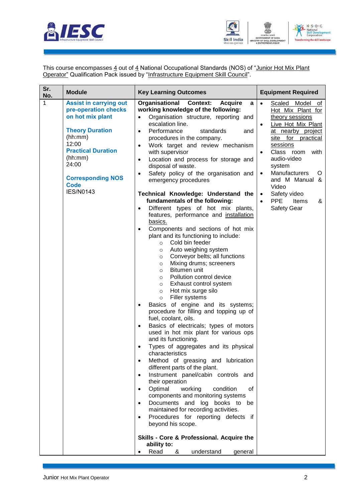



This course encompasses  $\underline{4}$  out of  $\underline{4}$  National Occupational Standards (NOS) of "<u>Junior Hot Mix Plant</u> **Operator**" Qualification Pack issued by "Infrastructure Equipment Skill Council".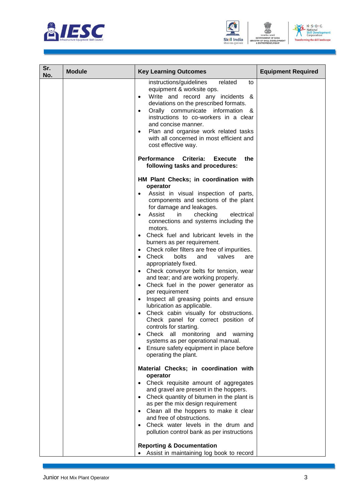





| Sr.<br>No. | <b>Module</b> | <b>Key Learning Outcomes</b>                                                                                                                                                                                                                                                                                                                                                                                                                                                                                                                                                                                                                                                                                                                                                                                                                                                                                                                                                                                                                               | <b>Equipment Required</b> |
|------------|---------------|------------------------------------------------------------------------------------------------------------------------------------------------------------------------------------------------------------------------------------------------------------------------------------------------------------------------------------------------------------------------------------------------------------------------------------------------------------------------------------------------------------------------------------------------------------------------------------------------------------------------------------------------------------------------------------------------------------------------------------------------------------------------------------------------------------------------------------------------------------------------------------------------------------------------------------------------------------------------------------------------------------------------------------------------------------|---------------------------|
|            |               | instructions/guidelines<br>related<br>to<br>equipment & worksite ops.<br>Write and record any incidents &<br>deviations on the prescribed formats.<br>Orally communicate information &<br>$\bullet$<br>instructions to co-workers in a clear<br>and concise manner.<br>Plan and organise work related tasks<br>$\bullet$<br>with all concerned in most efficient and<br>cost effective way.                                                                                                                                                                                                                                                                                                                                                                                                                                                                                                                                                                                                                                                                |                           |
|            |               | Performance Criteria:<br>the<br><b>Execute</b><br>following tasks and procedures:                                                                                                                                                                                                                                                                                                                                                                                                                                                                                                                                                                                                                                                                                                                                                                                                                                                                                                                                                                          |                           |
|            |               | HM Plant Checks; in coordination with<br>operator<br>Assist in visual inspection of parts,<br>components and sections of the plant<br>for damage and leakages.<br>Assist<br>in<br>checking<br>electrical<br>$\bullet$<br>connections and systems including the<br>motors.<br>Check fuel and lubricant levels in the<br>burners as per requirement.<br>Check roller filters are free of impurities.<br>$\bullet$<br>bolts<br>Check<br>and<br>valves<br>are<br>$\bullet$<br>appropriately fixed.<br>Check conveyor belts for tension, wear<br>$\bullet$<br>and tear; and are working properly.<br>Check fuel in the power generator as<br>$\bullet$<br>per requirement<br>Inspect all greasing points and ensure<br>$\bullet$<br>lubrication as applicable.<br>Check cabin visually for obstructions.<br>Check panel for correct position of<br>controls for starting.<br>Check all monitoring and warning<br>systems as per operational manual.<br>Ensure safety equipment in place before<br>operating the plant.<br>Material Checks; in coordination with |                           |
|            |               | operator<br>• Check requisite amount of aggregates                                                                                                                                                                                                                                                                                                                                                                                                                                                                                                                                                                                                                                                                                                                                                                                                                                                                                                                                                                                                         |                           |
|            |               | and gravel are present in the hoppers.<br>• Check quantity of bitumen in the plant is<br>as per the mix design requirement<br>• Clean all the hoppers to make it clear<br>and free of obstructions.<br>• Check water levels in the drum and<br>pollution control bank as per instructions<br><b>Reporting &amp; Documentation</b>                                                                                                                                                                                                                                                                                                                                                                                                                                                                                                                                                                                                                                                                                                                          |                           |
|            |               | Assist in maintaining log book to record<br>$\bullet$                                                                                                                                                                                                                                                                                                                                                                                                                                                                                                                                                                                                                                                                                                                                                                                                                                                                                                                                                                                                      |                           |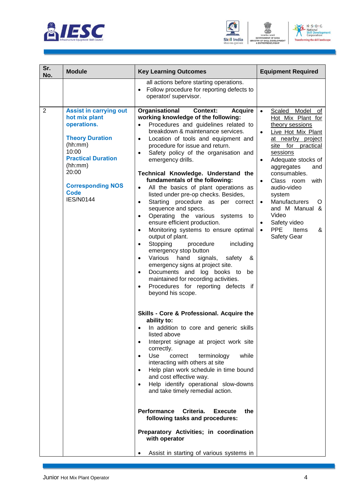





| Sr.<br>No.     | <b>Module</b>                                                                                                                                                                                                               | <b>Key Learning Outcomes</b>                                                                                                                                                                                                                                                                                                                                                                                                                                                                                                                                                                                                                                                                                                                                                                                                                                                                                                                                                                                                                                                                                                                                                                                                                                                                                                                                                                                                                                                                                                                                                                                                                                                                                                                                                           | <b>Equipment Required</b>                                                                                                                                                                                                                                                                                                                                                                                                                                |
|----------------|-----------------------------------------------------------------------------------------------------------------------------------------------------------------------------------------------------------------------------|----------------------------------------------------------------------------------------------------------------------------------------------------------------------------------------------------------------------------------------------------------------------------------------------------------------------------------------------------------------------------------------------------------------------------------------------------------------------------------------------------------------------------------------------------------------------------------------------------------------------------------------------------------------------------------------------------------------------------------------------------------------------------------------------------------------------------------------------------------------------------------------------------------------------------------------------------------------------------------------------------------------------------------------------------------------------------------------------------------------------------------------------------------------------------------------------------------------------------------------------------------------------------------------------------------------------------------------------------------------------------------------------------------------------------------------------------------------------------------------------------------------------------------------------------------------------------------------------------------------------------------------------------------------------------------------------------------------------------------------------------------------------------------------|----------------------------------------------------------------------------------------------------------------------------------------------------------------------------------------------------------------------------------------------------------------------------------------------------------------------------------------------------------------------------------------------------------------------------------------------------------|
|                |                                                                                                                                                                                                                             | all actions before starting operations.<br>Follow procedure for reporting defects to<br>operator/ supervisor.                                                                                                                                                                                                                                                                                                                                                                                                                                                                                                                                                                                                                                                                                                                                                                                                                                                                                                                                                                                                                                                                                                                                                                                                                                                                                                                                                                                                                                                                                                                                                                                                                                                                          |                                                                                                                                                                                                                                                                                                                                                                                                                                                          |
| $\overline{2}$ | <b>Assist in carrying out</b><br>hot mix plant<br>operations.<br><b>Theory Duration</b><br>(hh:mm)<br>10:00<br><b>Practical Duration</b><br>(hh:mm)<br>20:00<br><b>Corresponding NOS</b><br><b>Code</b><br><b>IES/N0144</b> | Organisational<br><b>Context:</b><br><b>Acquire</b><br>working knowledge of the following:<br>Procedures and guidelines related to<br>$\bullet$<br>breakdown & maintenance services.<br>Location of tools and equipment and<br>$\bullet$<br>procedure for issue and return.<br>Safety policy of the organisation and<br>$\bullet$<br>emergency drills.<br>Technical Knowledge. Understand the<br>fundamentals of the following:<br>All the basics of plant operations as<br>$\bullet$<br>listed under pre-op checks. Besides,<br>Starting procedure as per correct<br>$\bullet$<br>sequence and specs.<br>Operating the various systems<br>to<br>$\bullet$<br>ensure efficient production.<br>Monitoring systems to ensure optimal<br>$\bullet$<br>output of plant.<br>Stopping<br>including<br>procedure<br>$\bullet$<br>emergency stop button<br>Various<br>hand<br>signals,<br>safety<br>&<br>$\bullet$<br>emergency signs at project site.<br>Documents and log books to<br>be<br>$\bullet$<br>maintained for recording activities.<br>Procedures for reporting defects if<br>$\bullet$<br>beyond his scope.<br>Skills - Core & Professional. Acquire the<br>ability to:<br>In addition to core and generic skills<br>$\bullet$<br>listed above<br>Interpret signage at project work site<br>$\bullet$<br>correctly.<br>Use<br>while<br>correct<br>terminology<br>$\bullet$<br>interacting with others at site<br>Help plan work schedule in time bound<br>$\bullet$<br>and cost effective way.<br>Help identify operational slow-downs<br>and take timely remedial action.<br><b>Performance</b><br>Criteria.<br><b>Execute</b><br>the<br>following tasks and procedures:<br>Preparatory Activities; in coordination<br>with operator<br>Assist in starting of various systems in | Scaled Model of<br>$\bullet$<br>Hot Mix Plant for<br>theory sessions<br>Live Hot Mix Plant<br>$\bullet$<br>at nearby project<br>site<br>for practical<br>sessions<br>Adequate stocks of<br>$\bullet$<br>aggregates<br>and<br>consumables.<br>Class room<br>with<br>$\bullet$<br>audio-video<br>system<br>Manufacturers<br>O<br>$\bullet$<br>and M Manual &<br>Video<br>Safety video<br>$\bullet$<br><b>PPE</b><br>Items<br>&<br>$\bullet$<br>Safety Gear |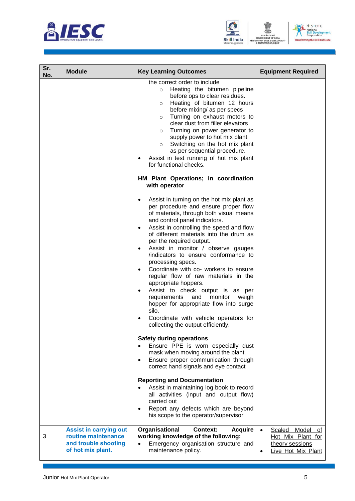





| Sr.<br>No. | <b>Module</b>                                                                                     | <b>Key Learning Outcomes</b>                                                                                                                                                                                                                                                                                                                                                                                                                                                                                                                             | <b>Equipment Required</b>                                                                        |
|------------|---------------------------------------------------------------------------------------------------|----------------------------------------------------------------------------------------------------------------------------------------------------------------------------------------------------------------------------------------------------------------------------------------------------------------------------------------------------------------------------------------------------------------------------------------------------------------------------------------------------------------------------------------------------------|--------------------------------------------------------------------------------------------------|
|            |                                                                                                   | the correct order to include<br>Heating the bitumen pipeline<br>$\circ$<br>before ops to clear residues.<br>Heating of bitumen 12 hours<br>$\circ$<br>before mixing/ as per specs<br>Turning on exhaust motors to<br>$\circ$<br>clear dust from filler elevators<br>Turning on power generator to<br>$\circ$<br>supply power to hot mix plant<br>Switching on the hot mix plant<br>$\circ$<br>as per sequential procedure.<br>Assist in test running of hot mix plant<br>for functional checks.<br>HM Plant Operations; in coordination<br>with operator |                                                                                                  |
|            |                                                                                                   | Assist in turning on the hot mix plant as<br>$\bullet$<br>per procedure and ensure proper flow<br>of materials, through both visual means<br>and control panel indicators.<br>Assist in controlling the speed and flow<br>$\bullet$<br>of different materials into the drum as<br>per the required output.                                                                                                                                                                                                                                               |                                                                                                  |
|            |                                                                                                   | Assist in monitor / observe gauges<br>$\bullet$<br>indicators to ensure conformance to<br>processing specs.<br>Coordinate with co- workers to ensure<br>$\bullet$<br>regular flow of raw materials in the<br>appropriate hoppers.                                                                                                                                                                                                                                                                                                                        |                                                                                                  |
|            |                                                                                                   | Assist to check output is as per<br>requirements<br>and<br>monitor<br>weigh<br>hopper for appropriate flow into surge<br>silo.<br>Coordinate with vehicle operators for<br>collecting the output efficiently.                                                                                                                                                                                                                                                                                                                                            |                                                                                                  |
|            |                                                                                                   | <b>Safety during operations</b><br>Ensure PPE is worn especially dust<br>$\bullet$<br>mask when moving around the plant.<br>Ensure proper communication through<br>$\bullet$<br>correct hand signals and eye contact                                                                                                                                                                                                                                                                                                                                     |                                                                                                  |
|            |                                                                                                   | <b>Reporting and Documentation</b><br>Assist in maintaining log book to record<br>all activities (input and output flow)<br>carried out<br>Report any defects which are beyond<br>his scope to the operator/supervisor                                                                                                                                                                                                                                                                                                                                   |                                                                                                  |
| 3          | <b>Assist in carrying out</b><br>routine maintenance<br>and trouble shooting<br>of hot mix plant. | Organisational<br><b>Context:</b><br><b>Acquire</b><br>working knowledge of the following:<br>Emergency organisation structure and<br>maintenance policy.                                                                                                                                                                                                                                                                                                                                                                                                | Scaled<br>Model<br>оf<br>$\bullet$<br>Hot Mix Plant for<br>theory sessions<br>Live Hot Mix Plant |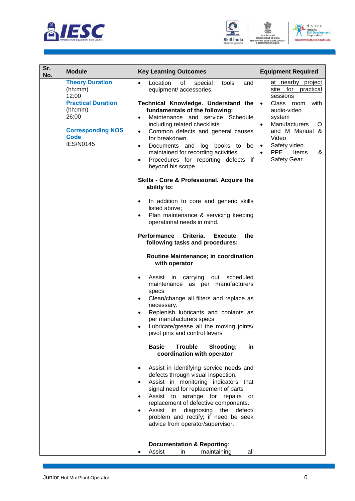





| Sr.<br>No. | <b>Module</b>                                                                                                                                              | <b>Key Learning Outcomes</b>                                                                                                                                                                                                                                                                                                                                                                                                                                                                                                                                                                                                                                                                                                                                                                                                                                                                                                                                                                                                                                                                                                                                                                                                                                                                                                                                                                                                                                                                                                                                                                                                                                                                                   | <b>Equipment Required</b>                                                                                                                                                                                                                                                        |
|------------|------------------------------------------------------------------------------------------------------------------------------------------------------------|----------------------------------------------------------------------------------------------------------------------------------------------------------------------------------------------------------------------------------------------------------------------------------------------------------------------------------------------------------------------------------------------------------------------------------------------------------------------------------------------------------------------------------------------------------------------------------------------------------------------------------------------------------------------------------------------------------------------------------------------------------------------------------------------------------------------------------------------------------------------------------------------------------------------------------------------------------------------------------------------------------------------------------------------------------------------------------------------------------------------------------------------------------------------------------------------------------------------------------------------------------------------------------------------------------------------------------------------------------------------------------------------------------------------------------------------------------------------------------------------------------------------------------------------------------------------------------------------------------------------------------------------------------------------------------------------------------------|----------------------------------------------------------------------------------------------------------------------------------------------------------------------------------------------------------------------------------------------------------------------------------|
|            | <b>Theory Duration</b><br>(hh:mm)<br>12:00<br><b>Practical Duration</b><br>(hh:mm)<br>26:00<br><b>Corresponding NOS</b><br><b>Code</b><br><b>IES/N0145</b> | Location<br>of<br>tools<br>special<br>$\bullet$<br>and<br>equipment/ accessories.<br>Technical Knowledge. Understand the<br>fundamentals of the following:<br>Maintenance and service Schedule<br>$\bullet$<br>including related checklists<br>Common defects and general causes<br>$\bullet$<br>for breakdown.<br>Documents and log books to be<br>$\bullet$<br>maintained for recording activities.<br>Procedures for reporting defects if<br>$\bullet$<br>beyond his scope.<br>Skills - Core & Professional. Acquire the<br>ability to:<br>In addition to core and generic skills<br>listed above;<br>Plan maintenance & servicing keeping<br>operational needs in mind.<br>Performance<br>Criteria.<br>the<br><b>Execute</b><br>following tasks and procedures:<br>Routine Maintenance; in coordination<br>with operator<br>scheduled<br>Assist in carrying<br>out<br>$\bullet$<br>maintenance as per manufacturers<br>specs<br>Clean/change all filters and replace as<br>$\bullet$<br>necessary.<br>Replenish lubricants and coolants as<br>$\bullet$<br>per manufacturers specs<br>Lubricate/grease all the moving joints/<br>$\bullet$<br>pivot pins and control levers<br><b>Basic</b><br><b>Trouble</b><br>Shooting;<br>in<br>coordination with operator<br>Assist in identifying service needs and<br>defects through visual inspection.<br>Assist in monitoring indicators that<br>$\bullet$<br>signal need for replacement of parts<br>Assist to arrange for repairs<br>or<br>replacement of defective components.<br>Assist<br>diagnosing the<br>in<br>defect/<br>$\bullet$<br>problem and rectify; if need be seek<br>advice from operator/supervisor.<br><b>Documentation &amp; Reporting:</b> | at nearby project<br>site for practical<br>sessions<br>Class room<br>with<br>$\bullet$<br>audio-video<br>system<br><b>Manufacturers</b><br>$\bullet$<br>O<br>and M Manual &<br>Video<br>Safety video<br>$\bullet$<br><b>PPE</b><br>Items<br>&<br>$\bullet$<br><b>Safety Gear</b> |
|            |                                                                                                                                                            | Assist<br>maintaining<br>all<br>in                                                                                                                                                                                                                                                                                                                                                                                                                                                                                                                                                                                                                                                                                                                                                                                                                                                                                                                                                                                                                                                                                                                                                                                                                                                                                                                                                                                                                                                                                                                                                                                                                                                                             |                                                                                                                                                                                                                                                                                  |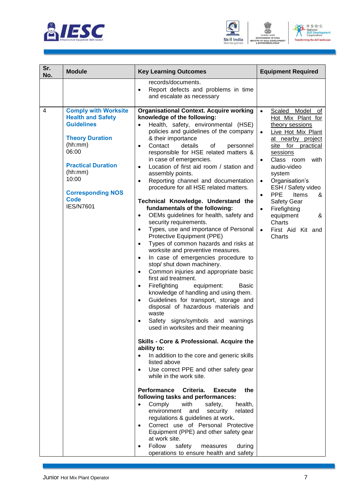





| Sr.<br>No. | <b>Module</b>                                                                                                                                                                                                                              | <b>Key Learning Outcomes</b>                                                                                                                                                                                                                                                                                                                                                                                                                                                                                                                                                                                                                                                                                                                                                                                                                                                                                                                                                                                                                                                                                                                                                                                                                                                                                                                                                                                                                                                                                                                                                                                                                                                                                                                                                                                                                                                                                                                      | <b>Equipment Required</b>                                                                                                                                                                                                                                                                                                                                                                                                                                 |
|------------|--------------------------------------------------------------------------------------------------------------------------------------------------------------------------------------------------------------------------------------------|---------------------------------------------------------------------------------------------------------------------------------------------------------------------------------------------------------------------------------------------------------------------------------------------------------------------------------------------------------------------------------------------------------------------------------------------------------------------------------------------------------------------------------------------------------------------------------------------------------------------------------------------------------------------------------------------------------------------------------------------------------------------------------------------------------------------------------------------------------------------------------------------------------------------------------------------------------------------------------------------------------------------------------------------------------------------------------------------------------------------------------------------------------------------------------------------------------------------------------------------------------------------------------------------------------------------------------------------------------------------------------------------------------------------------------------------------------------------------------------------------------------------------------------------------------------------------------------------------------------------------------------------------------------------------------------------------------------------------------------------------------------------------------------------------------------------------------------------------------------------------------------------------------------------------------------------------|-----------------------------------------------------------------------------------------------------------------------------------------------------------------------------------------------------------------------------------------------------------------------------------------------------------------------------------------------------------------------------------------------------------------------------------------------------------|
|            |                                                                                                                                                                                                                                            | records/documents.<br>Report defects and problems in time<br>$\bullet$<br>and escalate as necessary                                                                                                                                                                                                                                                                                                                                                                                                                                                                                                                                                                                                                                                                                                                                                                                                                                                                                                                                                                                                                                                                                                                                                                                                                                                                                                                                                                                                                                                                                                                                                                                                                                                                                                                                                                                                                                               |                                                                                                                                                                                                                                                                                                                                                                                                                                                           |
| 4          | <b>Comply with Worksite</b><br><b>Health and Safety</b><br><b>Guidelines</b><br><b>Theory Duration</b><br>(hh:mm)<br>06:00<br><b>Practical Duration</b><br>(hh:mm)<br>10:00<br><b>Corresponding NOS</b><br><b>Code</b><br><b>IES/N7601</b> | <b>Organisational Context. Acquire working</b><br>knowledge of the following:<br>Health, safety, environmental (HSE)<br>$\bullet$<br>policies and guidelines of the company<br>& their importance<br>Contact<br>details<br>оf<br>personnel<br>$\bullet$<br>responsible for HSE related matters &<br>in case of emergencies.<br>Location of first aid room / station and<br>$\bullet$<br>assembly points.<br>Reporting channel and documentation<br>$\bullet$<br>procedure for all HSE related matters.<br>Technical Knowledge. Understand the<br>fundamentals of the following:<br>OEMs guidelines for health, safety and<br>$\bullet$<br>security requirements.<br>Types, use and importance of Personal<br>$\bullet$<br>Protective Equipment (PPE)<br>Types of common hazards and risks at<br>$\bullet$<br>worksite and preventive measures.<br>In case of emergencies procedure to<br>$\bullet$<br>stop/ shut down machinery.<br>Common injuries and appropriate basic<br>$\bullet$<br>first aid treatment.<br>Firefighting<br>equipment:<br><b>Basic</b><br>$\bullet$<br>knowledge of handling and using them.<br>Guidelines for transport, storage and<br>$\bullet$<br>disposal of hazardous materials and<br>waste<br>Safety signs/symbols and warnings<br>used in worksites and their meaning<br>Skills - Core & Professional. Acquire the<br>ability to:<br>In addition to the core and generic skills<br>listed above<br>Use correct PPE and other safety gear<br>$\bullet$<br>while in the work site.<br>Performance<br>Criteria.<br><b>Execute</b><br>the<br>following tasks and performances:<br>Comply<br>with<br>safety,<br>health,<br>$\bullet$<br>environment<br>security<br>related<br>and<br>regulations & guidelines at work.<br>Correct use of Personal Protective<br>$\bullet$<br>Equipment (PPE) and other safety gear<br>at work site.<br>Follow<br>safety<br>during<br>measures<br>operations to ensure health and safety | Scaled<br>Model<br>$\bullet$<br>ot<br>Hot Mix Plant for<br>theory sessions<br>Live Hot Mix Plant<br>$\bullet$<br>at nearby project<br>site for practical<br>sessions<br>Class room<br>with<br>$\bullet$<br>audio-video<br>system<br>Organisation's<br>$\bullet$<br>ESH / Safety video<br><b>PPE</b><br>Items<br>&<br>$\bullet$<br><b>Safety Gear</b><br>Firefighting<br>$\bullet$<br>equipment<br>&<br>Charts<br>First Aid Kit and<br>$\bullet$<br>Charts |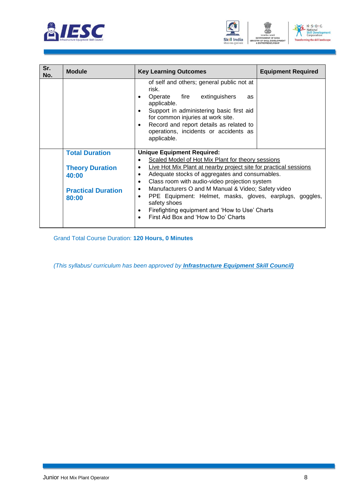



| $N \cdot S \cdot D \cdot C$                         |
|-----------------------------------------------------|
| National<br><b>Skill Development</b><br>Corporation |
| <b>Transforming the skill landscape</b>             |

| Sr.<br>No. | <b>Module</b>                                   | <b>Key Learning Outcomes</b>                                                                                                                                                                                                                                                                                | <b>Equipment Required</b> |
|------------|-------------------------------------------------|-------------------------------------------------------------------------------------------------------------------------------------------------------------------------------------------------------------------------------------------------------------------------------------------------------------|---------------------------|
|            |                                                 | of self and others; general public not at<br>risk.<br>Operate fire extinguishers<br>as<br>$\bullet$<br>applicable.<br>Support in administering basic first aid<br>for common injuries at work site.<br>Record and report details as related to<br>٠<br>operations, incidents or accidents as<br>applicable. |                           |
|            | <b>Total Duration</b><br><b>Theory Duration</b> | <b>Unique Equipment Required:</b><br>Scaled Model of Hot Mix Plant for theory sessions<br>$\bullet$<br>Live Hot Mix Plant at nearby project site for practical sessions<br>$\bullet$                                                                                                                        |                           |
|            | 40:00                                           | Adequate stocks of aggregates and consumables.<br>$\bullet$<br>Class room with audio-video projection system<br>$\bullet$                                                                                                                                                                                   |                           |
|            | <b>Practical Duration</b><br>80:00              | Manufacturers O and M Manual & Video; Safety video<br>$\bullet$<br>PPE Equipment: Helmet, masks, gloves, earplugs, goggles,<br>$\bullet$<br>safety shoes<br>Firefighting equipment and 'How to Use' Charts<br>$\bullet$<br>First Aid Box and 'How to Do' Charts<br>$\bullet$                                |                           |

Grand Total Course Duration: **120 Hours, 0 Minutes**

*(This syllabus/ curriculum has been approved by Infrastructure Equipment Skill Council)*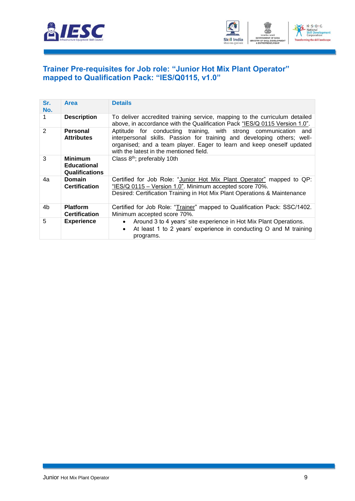



#### <span id="page-11-0"></span>**[Trainer Pre-requisites for Job role: "Junior Hot Mix](#page-2-1) Plant Operator" [mapped to Qualification Pack: "IES/Q0115, v1.0"](#page-2-1)**

| Sr.<br>No.   | <b>Area</b>                                                   | <b>Details</b>                                                                                                                                                                                                                                                    |  |
|--------------|---------------------------------------------------------------|-------------------------------------------------------------------------------------------------------------------------------------------------------------------------------------------------------------------------------------------------------------------|--|
|              | <b>Description</b>                                            | To deliver accredited training service, mapping to the curriculum detailed<br>above, in accordance with the Qualification Pack "IES/Q 0115 Version 1.0".                                                                                                          |  |
| $\mathbf{2}$ | <b>Personal</b><br><b>Attributes</b>                          | Aptitude for conducting training, with strong communication<br>and<br>interpersonal skills. Passion for training and developing others; well-<br>organised; and a team player. Eager to learn and keep oneself updated<br>with the latest in the mentioned field. |  |
| 3            | <b>Minimum</b><br><b>Educational</b><br><b>Qualifications</b> | Class 8 <sup>th</sup> ; preferably 10th                                                                                                                                                                                                                           |  |
| 4a           | <b>Domain</b><br><b>Certification</b>                         | Certified for Job Role: "Junior Hot Mix Plant Operator" mapped to QP:<br>"IES/Q 0115 - Version 1.0". Minimum accepted score 70%.<br>Desired: Certification Training in Hot Mix Plant Operations & Maintenance                                                     |  |
| 4b           | <b>Platform</b><br><b>Certification</b>                       | Certified for Job Role: "Trainer" mapped to Qualification Pack: SSC/1402.<br>Minimum accepted score 70%.                                                                                                                                                          |  |
| 5            | <b>Experience</b>                                             | Around 3 to 4 years' site experience in Hot Mix Plant Operations.<br>$\bullet$<br>At least 1 to 2 years' experience in conducting O and M training<br>$\bullet$<br>programs.                                                                                      |  |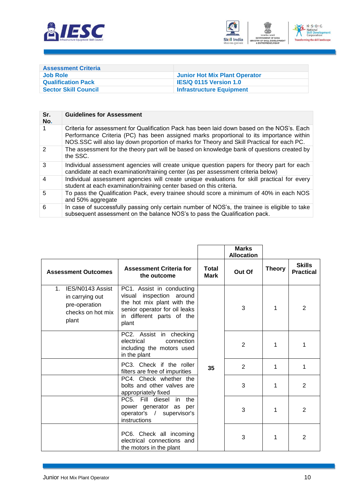



<span id="page-12-0"></span>

| <b>Assessment Criteria</b>  |                                      |
|-----------------------------|--------------------------------------|
| Job Role                    | <b>Junior Hot Mix Plant Operator</b> |
| <b>Qualification Pack</b>   | <b>IES/Q 0115 Version 1.0</b>        |
| <b>Sector Skill Council</b> | <b>Infrastructure Equipment</b>      |

| Sr.<br>No.    | <b>Guidelines for Assessment</b>                                                                                                                                                                                                                                                    |
|---------------|-------------------------------------------------------------------------------------------------------------------------------------------------------------------------------------------------------------------------------------------------------------------------------------|
|               | Criteria for assessment for Qualification Pack has been laid down based on the NOS's. Each<br>Performance Criteria (PC) has been assigned marks proportional to its importance within<br>NOS.SSC will also lay down proportion of marks for Theory and Skill Practical for each PC. |
| $\mathcal{P}$ | The assessment for the theory part will be based on knowledge bank of questions created by<br>the SSC.                                                                                                                                                                              |
| 3             | Individual assessment agencies will create unique question papers for theory part for each<br>candidate at each examination/training center (as per assessment criteria below)                                                                                                      |
| 4             | Individual assessment agencies will create unique evaluations for skill practical for every<br>student at each examination/training center based on this criteria.                                                                                                                  |
| 5             | To pass the Qualification Pack, every trainee should score a minimum of 40% in each NOS<br>and 50% aggregate                                                                                                                                                                        |
| 6             | In case of successfully passing only certain number of NOS's, the trainee is eligible to take<br>subsequent assessment on the balance NOS's to pass the Qualification pack.                                                                                                         |

|                                                                                               |                                                                                                                                                               |                      | <b>Marks</b><br><b>Allocation</b> |               |                                   |
|-----------------------------------------------------------------------------------------------|---------------------------------------------------------------------------------------------------------------------------------------------------------------|----------------------|-----------------------------------|---------------|-----------------------------------|
| <b>Assessment Outcomes</b>                                                                    | <b>Assessment Criteria for</b><br>the outcome                                                                                                                 | Total<br><b>Mark</b> | Out Of                            | <b>Theory</b> | <b>Skills</b><br><b>Practical</b> |
| IES/N0143 Assist<br>$1_{-}$<br>in carrying out<br>pre-operation<br>checks on hot mix<br>plant | PC1. Assist in conducting<br>inspection around<br>visual<br>the hot mix plant with the<br>senior operator for oil leaks<br>in different parts of the<br>plant | 35                   | 3                                 | 1             | $\overline{2}$                    |
|                                                                                               | PC2. Assist in checking<br>electrical<br>connection<br>including the motors used<br>in the plant                                                              |                      | $\overline{2}$                    | 1             | 1                                 |
|                                                                                               | PC3. Check if the roller<br>filters are free of impurities                                                                                                    |                      | $\overline{2}$                    | 1             | 1                                 |
|                                                                                               | PC4. Check whether the<br>bolts and other valves are<br>appropriately fixed                                                                                   |                      | 3                                 | 1             | 2                                 |
|                                                                                               | PC5. Fill diesel<br>the<br>in<br>power generator as per<br>operator's / supervisor's<br>instructions                                                          |                      | 3                                 | 1             | 2                                 |
|                                                                                               | PC6. Check all incoming<br>electrical connections and<br>the motors in the plant                                                                              |                      | 3                                 | 1             | 2                                 |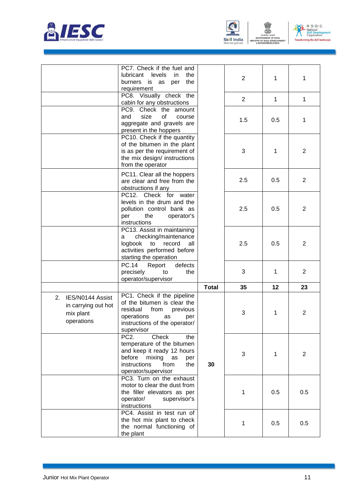





ENT

|                                                                          | PC7. Check if the fuel and<br>lubricant<br>levels<br>in.<br>the<br>burners<br>is<br>the<br>as<br>per<br>requirement                                                                  |              | $\overline{2}$ | 1   | 1              |
|--------------------------------------------------------------------------|--------------------------------------------------------------------------------------------------------------------------------------------------------------------------------------|--------------|----------------|-----|----------------|
|                                                                          | PC8. Visually check the<br>cabin for any obstructions                                                                                                                                |              | $\overline{2}$ | 1   | 1              |
|                                                                          | PC9. Check the<br>amount<br>of<br>and<br>size<br>course<br>aggregate and gravels are<br>present in the hoppers                                                                       |              | 1.5            | 0.5 | 1              |
|                                                                          | PC10. Check if the quantity<br>of the bitumen in the plant<br>is as per the requirement of<br>the mix design/ instructions<br>from the operator                                      |              | 3              | 1   | 2              |
|                                                                          | PC11. Clear all the hoppers<br>are clear and free from the<br>obstructions if any                                                                                                    |              | 2.5            | 0.5 | 2              |
|                                                                          | PC12. Check for<br>water<br>levels in the drum and the<br>pollution control bank as<br>per<br>the<br>operator's<br>instructions                                                      |              | 2.5            | 0.5 | 2              |
|                                                                          | PC13. Assist in maintaining<br>checking/maintenance<br>a<br>logbook<br>record<br>to<br>all<br>activities performed before<br>starting the operation                                  |              | 2.5            | 0.5 | $\overline{2}$ |
|                                                                          | <b>PC.14</b><br>defects<br>Report<br>precisely<br>to<br>the<br>operator/supervisor                                                                                                   |              | 3              | 1   | 2              |
|                                                                          |                                                                                                                                                                                      | <b>Total</b> | 35             | 12  | 23             |
| 2.<br>IES/N0144 Assist<br>in carrying out hot<br>mix plant<br>operations | PC1. Check if the pipeline<br>of the bitumen is clear the<br>residual<br>from<br>previous<br>operations<br>as<br>per<br>instructions of the operator/<br>supervisor                  |              | 3              | 1   | 2              |
|                                                                          | PC <sub>2</sub> .<br>Check<br>the<br>temperature of the bitumen<br>and keep it ready 12 hours<br>before<br>mixing<br>as<br>per<br>instructions<br>from<br>the<br>operator/supervisor | 30           | 3              | 1   | $\overline{2}$ |
|                                                                          | PC3. Turn on the exhaust<br>motor to clear the dust from<br>the filler elevators as per<br>operator/<br>supervisor's<br>instructions                                                 |              | 1              | 0.5 | 0.5            |
|                                                                          | PC4. Assist in test run of<br>the hot mix plant to check<br>the normal functioning of<br>the plant                                                                                   |              | 1              | 0.5 | 0.5            |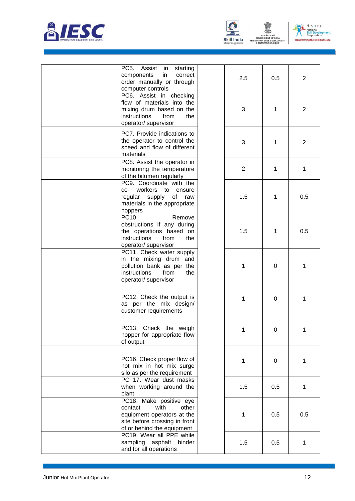





| PC5.<br>Assist<br>starting<br>in<br>in<br>components<br>correct<br>order manually or through<br>computer controls                                | 2.5            | 0.5 | $\overline{2}$ |
|--------------------------------------------------------------------------------------------------------------------------------------------------|----------------|-----|----------------|
| PC6. Assist in checking<br>flow of materials into the<br>mixing drum based on the<br>instructions<br>from<br>the<br>operator/supervisor          | 3              | 1   | $\overline{2}$ |
| PC7. Provide indications to<br>the operator to control the<br>speed and flow of different<br>materials                                           | 3              | 1   | 2              |
| PC8. Assist the operator in<br>monitoring the temperature<br>of the bitumen regularly                                                            | $\overline{2}$ | 1   | 1              |
| PC9. Coordinate with the<br>co- workers to<br>ensure<br>regular supply<br>of<br>raw<br>materials in the appropriate<br>hoppers                   | 1.5            | 1   | 0.5            |
| PC10.<br>Remove<br>obstructions if any during<br>the operations based on<br>instructions<br>from<br>the<br>operator/ supervisor                  | 1.5            | 1   | 0.5            |
| PC11. Check water supply<br>in the mixing drum and<br>pollution bank as per the<br>instructions<br>from<br>the<br>operator/ supervisor           | 1              | 0   | 1              |
| PC12. Check the output is<br>as per the mix design/<br>customer requirements                                                                     | 1              | 0   | 1              |
| PC13. Check the weigh<br>hopper for appropriate flow<br>of output                                                                                |                | 0   |                |
| PC16. Check proper flow of<br>hot mix in hot mix surge<br>silo as per the requirement                                                            | 1              | 0   | 1              |
| PC 17. Wear dust masks<br>when working around the<br>plant                                                                                       | 1.5            | 0.5 | 1              |
| PC18. Make positive eye<br>with<br>contact<br>other<br>equipment operators at the<br>site before crossing in front<br>of or behind the equipment | 1              | 0.5 | 0.5            |
| PC19. Wear all PPE while<br>sampling asphalt binder<br>and for all operations                                                                    | 1.5            | 0.5 | 1              |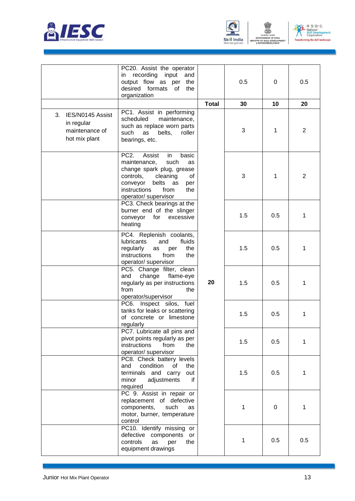





|                                                                         | PC20. Assist the operator<br>in recording input<br>and<br>output flow as per the<br>desired formats<br>of<br>the<br>organization                                                                                               |              | 0.5 | 0         | 0.5            |
|-------------------------------------------------------------------------|--------------------------------------------------------------------------------------------------------------------------------------------------------------------------------------------------------------------------------|--------------|-----|-----------|----------------|
|                                                                         |                                                                                                                                                                                                                                | <b>Total</b> | 30  | 10        | 20             |
| 3.<br>IES/N0145 Assist<br>in regular<br>maintenance of<br>hot mix plant | PC1. Assist in performing<br>scheduled<br>maintenance,<br>such as replace worn parts<br>such<br>as<br>belts,<br>roller<br>bearings, etc.                                                                                       |              | 3   | 1         | $\overline{2}$ |
|                                                                         | PC <sub>2</sub> .<br>Assist<br>in.<br>basic<br>maintenance,<br>such<br>as<br>change spark plug, grease<br>controls,<br>cleaning<br>of<br>conveyor<br>belts<br>as<br>per<br>instructions<br>from<br>the<br>operator/ supervisor |              | 3   | 1         | $\overline{2}$ |
|                                                                         | PC3. Check bearings at the<br>burner end of the slinger<br>excessive<br>conveyor<br>for<br>heating                                                                                                                             |              | 1.5 | 0.5       | 1              |
|                                                                         | PC4. Replenish coolants,<br><b>lubricants</b><br>and<br>fluids<br>regularly<br>the<br>as<br>per<br>instructions<br>from<br>the<br>operator/ supervisor                                                                         |              | 1.5 | 0.5       | 1              |
|                                                                         | PC5. Change filter, clean<br>change<br>flame-eye<br>and<br>regularly as per instructions<br>from<br>the<br>operator/supervisor                                                                                                 | 20           | 1.5 | 0.5       | 1              |
|                                                                         | PC6. Inspect silos, fuel<br>tanks for leaks or scattering<br>of concrete or limestone<br>regularly                                                                                                                             |              | 1.5 | 0.5       | 1              |
|                                                                         | PC7. Lubricate all pins and<br>pivot points regularly as per<br>instructions<br>from<br>the<br>operator/ supervisor                                                                                                            |              | 1.5 | 0.5       | 1              |
|                                                                         | PC8. Check battery levels<br>condition<br>οf<br>and<br>the<br>terminals and carry<br>out<br>if<br>minor<br>adjustments<br>required                                                                                             |              | 1.5 | 0.5       | 1              |
|                                                                         | PC 9. Assist in repair or<br>replacement of defective<br>components,<br>such<br>as<br>motor, burner, temperature<br>control                                                                                                    |              | 1   | $\pmb{0}$ | 1              |
|                                                                         | PC10. Identify missing or<br>defective components<br>or<br>controls<br>as<br>per<br>the<br>equipment drawings                                                                                                                  |              | 1   | 0.5       | 0.5            |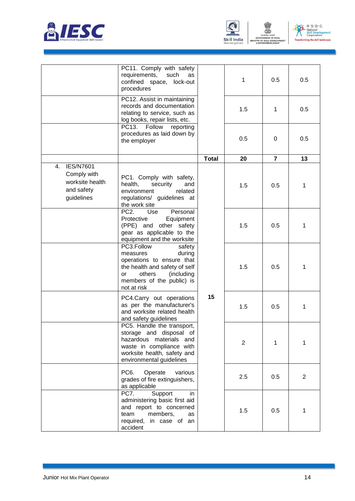





ENT

|                                                                                      | PC11. Comply with safety<br>requirements,<br>such<br>as<br>confined space, lock-out<br>procedures                                                                                  |              | 1              | 0.5            | 0.5          |
|--------------------------------------------------------------------------------------|------------------------------------------------------------------------------------------------------------------------------------------------------------------------------------|--------------|----------------|----------------|--------------|
|                                                                                      | PC12. Assist in maintaining<br>records and documentation<br>relating to service, such as<br>log books, repair lists, etc.                                                          |              | 1.5            | 1              | 0.5          |
|                                                                                      | PC13.<br>Follow<br>reporting<br>procedures as laid down by<br>the employer                                                                                                         |              | 0.5            | $\mathbf 0$    | 0.5          |
|                                                                                      |                                                                                                                                                                                    | <b>Total</b> | 20             | $\overline{7}$ | 13           |
| <b>IES/N7601</b><br>4.<br>Comply with<br>worksite health<br>and safety<br>guidelines | PC1. Comply with safety,<br>health,<br>security<br>and<br>environment<br>related<br>regulations/ guidelines at<br>the work site                                                    |              | 1.5            | 0.5            | 1            |
|                                                                                      | PC <sub>2</sub> .<br>Use<br>Personal<br>Protective<br>Equipment<br>(PPE) and other safety<br>gear as applicable to the<br>equipment and the worksite                               |              | 1.5            | 0.5            | 1            |
|                                                                                      | PC3.Follow<br>safety<br>during<br>measures<br>operations to ensure that<br>the health and safety of self<br>others<br>(including<br>or<br>members of the public) is<br>not at risk |              | 1.5            | 0.5            | 1            |
|                                                                                      | PC4.Carry out operations<br>as per the manufacturer's<br>and worksite related health<br>and safety guidelines                                                                      | 15           | 1.5            | 0.5            | 1            |
|                                                                                      | PC5. Handle the transport,<br>storage and disposal of<br>hazardous materials and<br>waste in compliance with<br>worksite health, safety and<br>environmental guidelines            |              | $\overline{2}$ | 1              | 1            |
|                                                                                      | PC <sub>6</sub> .<br>Operate<br>various<br>grades of fire extinguishers,<br>as applicable                                                                                          |              | 2.5            | 0.5            | $\mathbf{2}$ |
|                                                                                      | PC7.<br>Support<br>in.<br>administering basic first aid<br>and report to concerned<br>members,<br>team<br>as<br>required,<br>in case of an<br>accident                             |              | 1.5            | 0.5            | 1            |